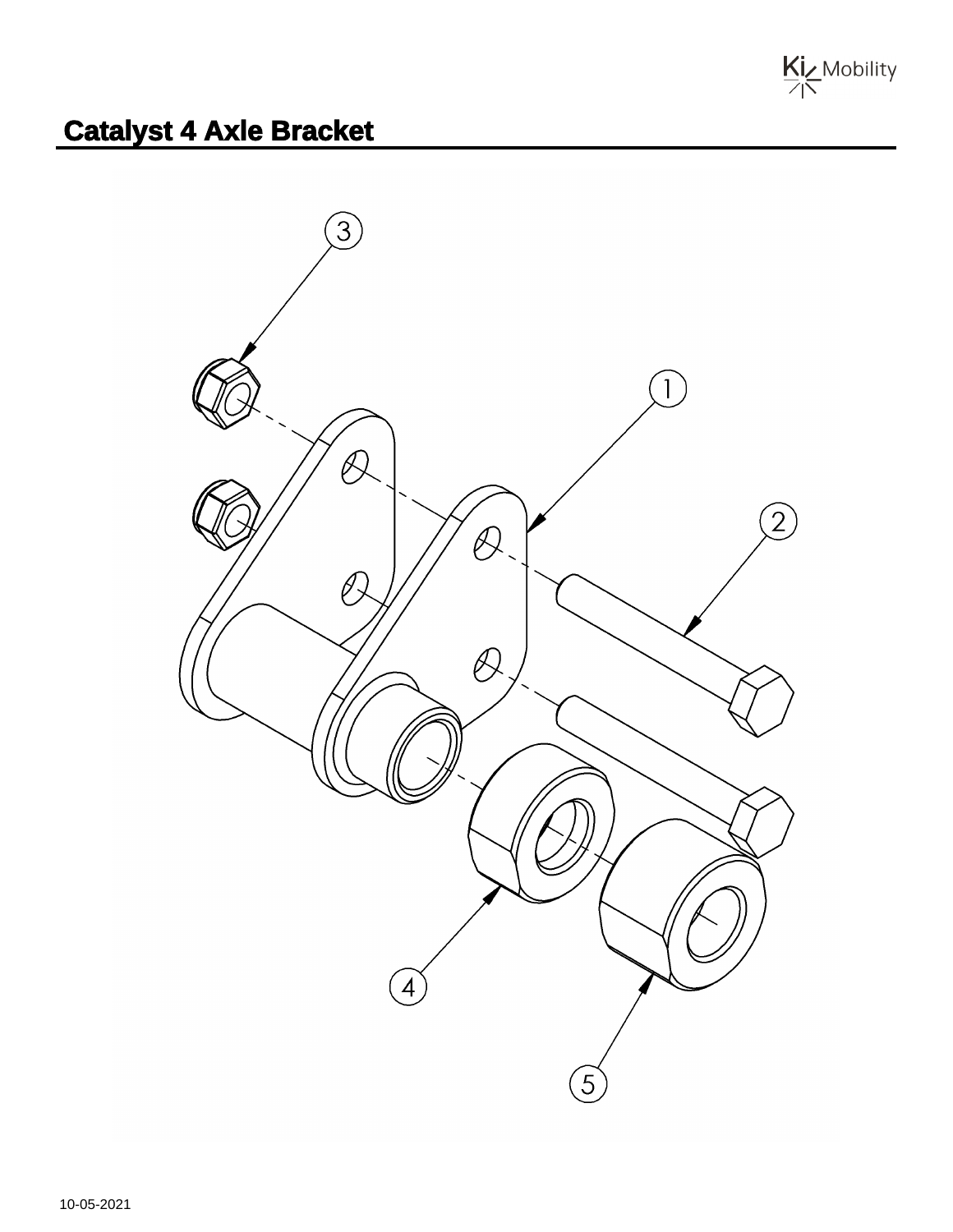

## **Catalyst 4 Axle Bracket**

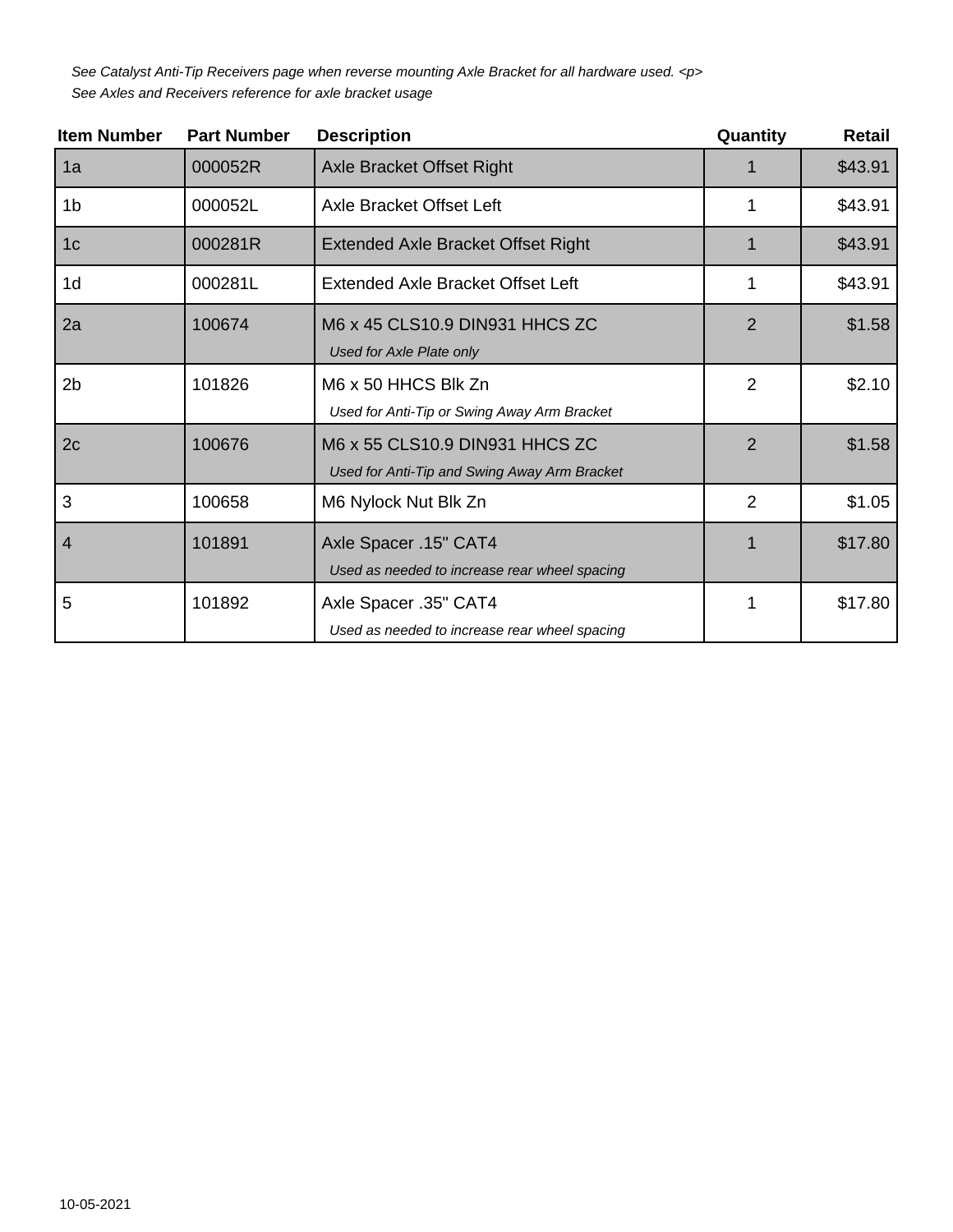See Catalyst Anti-Tip Receivers page when reverse mounting Axle Bracket for all hardware used. <p> See Axles and Receivers reference for axle bracket usage

| <b>Item Number</b> | <b>Part Number</b> | <b>Description</b>                                                             | Quantity       | <b>Retail</b> |
|--------------------|--------------------|--------------------------------------------------------------------------------|----------------|---------------|
| 1a                 | 000052R            | <b>Axle Bracket Offset Right</b>                                               |                | \$43.91       |
| 1 <sub>b</sub>     | 000052L            | Axle Bracket Offset Left                                                       |                | \$43.91       |
| 1 <sub>c</sub>     | 000281R            | <b>Extended Axle Bracket Offset Right</b>                                      |                | \$43.91       |
| 1 <sub>d</sub>     | 000281L            | Extended Axle Bracket Offset Left                                              | 1              | \$43.91       |
| 2a                 | 100674             | M6 x 45 CLS10.9 DIN931 HHCS ZC<br>Used for Axle Plate only                     | $\overline{2}$ | \$1.58        |
| 2 <sub>b</sub>     | 101826             | M6 x 50 HHCS Blk Zn<br>Used for Anti-Tip or Swing Away Arm Bracket             | $\overline{2}$ | \$2.10        |
| 2c                 | 100676             | M6 x 55 CLS10.9 DIN931 HHCS ZC<br>Used for Anti-Tip and Swing Away Arm Bracket | $\overline{2}$ | \$1.58        |
| 3                  | 100658             | M6 Nylock Nut Blk Zn                                                           | $\overline{2}$ | \$1.05        |
| $\overline{4}$     | 101891             | Axle Spacer .15" CAT4<br>Used as needed to increase rear wheel spacing         |                | \$17.80       |
| 5                  | 101892             | Axle Spacer .35" CAT4<br>Used as needed to increase rear wheel spacing         | 1              | \$17.80       |